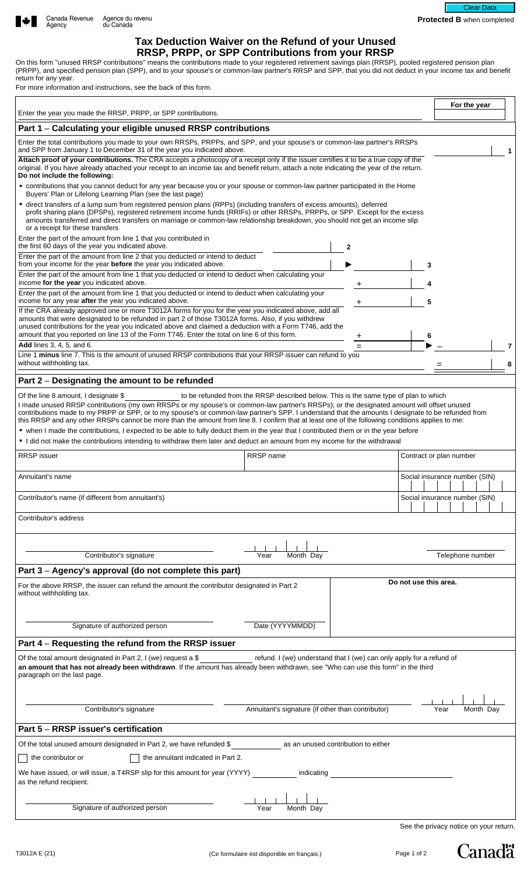# **Tax Deduction Waiver on the Refund of your Unused RRSP, PRPP, or SPP Contributions from your RRSP**

On this form "unused RRSP contributions" means the contributions made to your registered retirement savings plan (RRSP), pooled registered pension plan (PRPP), and specified pension plan (SPP), and to your spouse's or common-law partner's RRSP and SPP, that you did not deduct in your income tax and benefit return for any year.

For more information and instructions, see the back of this form.

|                                                                                                                                                                                                                                                                                                                                                                                                                                                                                                                                                                                                                                                                                                                                                                                                                                                            | For the year                                                  |
|------------------------------------------------------------------------------------------------------------------------------------------------------------------------------------------------------------------------------------------------------------------------------------------------------------------------------------------------------------------------------------------------------------------------------------------------------------------------------------------------------------------------------------------------------------------------------------------------------------------------------------------------------------------------------------------------------------------------------------------------------------------------------------------------------------------------------------------------------------|---------------------------------------------------------------|
| Enter the year you made the RRSP, PRPP, or SPP contributions.                                                                                                                                                                                                                                                                                                                                                                                                                                                                                                                                                                                                                                                                                                                                                                                              |                                                               |
| Part 1 - Calculating your eligible unused RRSP contributions                                                                                                                                                                                                                                                                                                                                                                                                                                                                                                                                                                                                                                                                                                                                                                                               |                                                               |
| Enter the total contributions you made to your own RRSPs, PRPPs, and SPP, and your spouse's or common-law partner's RRSPs<br>and SPP from January 1 to December 31 of the year you indicated above.<br>Attach proof of your contributions. The CRA accepts a photocopy of a receipt only if the issuer certifies it to be a true copy of the                                                                                                                                                                                                                                                                                                                                                                                                                                                                                                               |                                                               |
| original. If you have already attached your receipt to an income tax and benefit return, attach a note indicating the year of the return.<br>Do not include the following:                                                                                                                                                                                                                                                                                                                                                                                                                                                                                                                                                                                                                                                                                 |                                                               |
| • contributions that you cannot deduct for any year because you or your spouse or common-law partner participated in the Home<br>Buyers' Plan or Lifelong Learning Plan (see the last page)                                                                                                                                                                                                                                                                                                                                                                                                                                                                                                                                                                                                                                                                |                                                               |
| • direct transfers of a lump sum from registered pension plans (RPPs) (including transfers of excess amounts), deferred<br>profit sharing plans (DPSPs), registered retirement income funds (RRIFs) or other RRSPs, PRPPs, or SPP. Except for the excess<br>amounts transferred and direct transfers on marriage or common-law relationship breakdown, you should not get an income slip<br>or a receipt for these transfers                                                                                                                                                                                                                                                                                                                                                                                                                               |                                                               |
| Enter the part of the amount from line 1 that you contributed in<br>the first 60 days of the year you indicated above.<br>$\mathbf{2}$                                                                                                                                                                                                                                                                                                                                                                                                                                                                                                                                                                                                                                                                                                                     |                                                               |
| Enter the part of the amount from line 2 that you deducted or intend to deduct<br>from your income for the year before the year you indicated above.<br>3                                                                                                                                                                                                                                                                                                                                                                                                                                                                                                                                                                                                                                                                                                  |                                                               |
| Enter the part of the amount from line 1 that you deducted or intend to deduct when calculating your<br>income for the year you indicated above.                                                                                                                                                                                                                                                                                                                                                                                                                                                                                                                                                                                                                                                                                                           |                                                               |
| Enter the part of the amount from line 1 that you deducted or intend to deduct when calculating your<br>income for any year after the year you indicated above.<br>+                                                                                                                                                                                                                                                                                                                                                                                                                                                                                                                                                                                                                                                                                       |                                                               |
| If the CRA already approved one or more T3012A forms for you for the year you indicated above, add all<br>amounts that were designated to be refunded in part 2 of those T3012A forms. Also, if you withdrew<br>unused contributions for the year you indicated above and claimed a deduction with a Form T746, add the                                                                                                                                                                                                                                                                                                                                                                                                                                                                                                                                    |                                                               |
| amount that you reported on line 13 of the Form T746. Enter the total on line 6 of this form.<br>6<br>+<br>Add lines 3, 4, 5, and 6.<br>$=$                                                                                                                                                                                                                                                                                                                                                                                                                                                                                                                                                                                                                                                                                                                |                                                               |
| Line 1 minus line 7. This is the amount of unused RRSP contributions that your RRSP issuer can refund to you<br>without withholding tax.                                                                                                                                                                                                                                                                                                                                                                                                                                                                                                                                                                                                                                                                                                                   | 8                                                             |
| Part 2 - Designating the amount to be refunded                                                                                                                                                                                                                                                                                                                                                                                                                                                                                                                                                                                                                                                                                                                                                                                                             |                                                               |
| Of the line 8 amount, I designate \$<br>to be refunded from the RRSP described below. This is the same type of plan to which<br>I made unused RRSP contributions (my own RRSPs or my spouse's or common-law partner's RRSPs); or the designated amount will offset unused<br>contributions made to my PRPP or SPP, or to my spouse's or common-law partner's SPP. I understand that the amounts I designate to be refunded from<br>this RRSP and any other RRSPs cannot be more than the amount from line 8. I confirm that at least one of the following conditions applies to me:<br>• when I made the contributions, I expected to be able to fully deduct them in the year that I contributed them or in the year before<br>• I did not make the contributions intending to withdraw them later and deduct an amount from my income for the withdrawal |                                                               |
| RRSP name                                                                                                                                                                                                                                                                                                                                                                                                                                                                                                                                                                                                                                                                                                                                                                                                                                                  |                                                               |
| <b>RRSP</b> issuer                                                                                                                                                                                                                                                                                                                                                                                                                                                                                                                                                                                                                                                                                                                                                                                                                                         | Contract or plan number                                       |
| Annuitant's name<br>$\mathbf{1}$ $\mathbf{1}$                                                                                                                                                                                                                                                                                                                                                                                                                                                                                                                                                                                                                                                                                                                                                                                                              | Social insurance number (SIN)<br>and the property of the con- |
| Contributor's name (if different from annuitant's)                                                                                                                                                                                                                                                                                                                                                                                                                                                                                                                                                                                                                                                                                                                                                                                                         | Social insurance number (SIN)                                 |
| Contributor's address                                                                                                                                                                                                                                                                                                                                                                                                                                                                                                                                                                                                                                                                                                                                                                                                                                      |                                                               |
|                                                                                                                                                                                                                                                                                                                                                                                                                                                                                                                                                                                                                                                                                                                                                                                                                                                            |                                                               |
| Contributor's signature<br>Month Day<br>Year                                                                                                                                                                                                                                                                                                                                                                                                                                                                                                                                                                                                                                                                                                                                                                                                               | Telephone number                                              |
| Part 3 - Agency's approval (do not complete this part)                                                                                                                                                                                                                                                                                                                                                                                                                                                                                                                                                                                                                                                                                                                                                                                                     |                                                               |
| Do not use this area.<br>For the above RRSP, the issuer can refund the amount the contributor designated in Part 2<br>without withholding tax.                                                                                                                                                                                                                                                                                                                                                                                                                                                                                                                                                                                                                                                                                                             |                                                               |
| Date (YYYYMMDD)<br>Signature of authorized person                                                                                                                                                                                                                                                                                                                                                                                                                                                                                                                                                                                                                                                                                                                                                                                                          |                                                               |
| Part 4 - Requesting the refund from the RRSP issuer                                                                                                                                                                                                                                                                                                                                                                                                                                                                                                                                                                                                                                                                                                                                                                                                        |                                                               |
| Of the total amount designated in Part 2, I (we) request a \$<br>refund. I (we) understand that I (we) can only apply for a refund of<br>an amount that has not already been withdrawn. If the amount has already been withdrawn, see "Who can use this form" in the third<br>paragraph on the last page.                                                                                                                                                                                                                                                                                                                                                                                                                                                                                                                                                  |                                                               |
| Annuitant's signature (if other than contributor)<br>Contributor's signature                                                                                                                                                                                                                                                                                                                                                                                                                                                                                                                                                                                                                                                                                                                                                                               | Year<br>Month Dav                                             |
| Part 5 - RRSP issuer's certification                                                                                                                                                                                                                                                                                                                                                                                                                                                                                                                                                                                                                                                                                                                                                                                                                       |                                                               |
| Of the total unused amount designated in Part 2, we have refunded \$<br>as an unused contribution to either                                                                                                                                                                                                                                                                                                                                                                                                                                                                                                                                                                                                                                                                                                                                                |                                                               |
| the annuitant indicated in Part 2.<br>the contributor or                                                                                                                                                                                                                                                                                                                                                                                                                                                                                                                                                                                                                                                                                                                                                                                                   |                                                               |
| We have issued, or will issue, a T4RSP slip for this amount for year (YYYY)<br>indicating<br>as the refund recipient.                                                                                                                                                                                                                                                                                                                                                                                                                                                                                                                                                                                                                                                                                                                                      |                                                               |
|                                                                                                                                                                                                                                                                                                                                                                                                                                                                                                                                                                                                                                                                                                                                                                                                                                                            |                                                               |
| Signature of authorized person<br>Month Day<br>Year                                                                                                                                                                                                                                                                                                                                                                                                                                                                                                                                                                                                                                                                                                                                                                                                        | See the privacy notice on your return.                        |